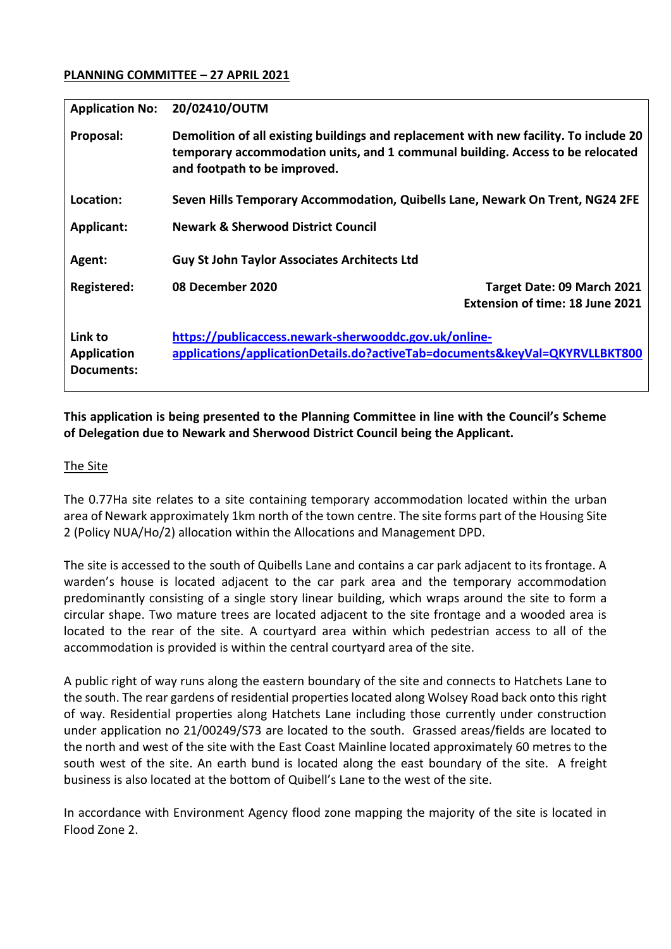## **PLANNING COMMITTEE – 27 APRIL 2021**

| <b>Application No:</b>                      | 20/02410/OUTM                                                                                                                                                                                           |
|---------------------------------------------|---------------------------------------------------------------------------------------------------------------------------------------------------------------------------------------------------------|
| Proposal:                                   | Demolition of all existing buildings and replacement with new facility. To include 20<br>temporary accommodation units, and 1 communal building. Access to be relocated<br>and footpath to be improved. |
| Location:                                   | Seven Hills Temporary Accommodation, Quibells Lane, Newark On Trent, NG24 2FE                                                                                                                           |
| <b>Applicant:</b>                           | <b>Newark &amp; Sherwood District Council</b>                                                                                                                                                           |
| Agent:                                      | <b>Guy St John Taylor Associates Architects Ltd</b>                                                                                                                                                     |
| Registered:                                 | 08 December 2020<br>Target Date: 09 March 2021<br>Extension of time: 18 June 2021                                                                                                                       |
| Link to<br><b>Application</b><br>Documents: | https://publicaccess.newark-sherwooddc.gov.uk/online-<br>applications/applicationDetails.do?activeTab=documents&keyVal=QKYRVLLBKT800                                                                    |

# **This application is being presented to the Planning Committee in line with the Council's Scheme of Delegation due to Newark and Sherwood District Council being the Applicant.**

### The Site

The 0.77Ha site relates to a site containing temporary accommodation located within the urban area of Newark approximately 1km north of the town centre. The site forms part of the Housing Site 2 (Policy NUA/Ho/2) allocation within the Allocations and Management DPD.

The site is accessed to the south of Quibells Lane and contains a car park adjacent to its frontage. A warden's house is located adjacent to the car park area and the temporary accommodation predominantly consisting of a single story linear building, which wraps around the site to form a circular shape. Two mature trees are located adjacent to the site frontage and a wooded area is located to the rear of the site. A courtyard area within which pedestrian access to all of the accommodation is provided is within the central courtyard area of the site.

A public right of way runs along the eastern boundary of the site and connects to Hatchets Lane to the south. The rear gardens of residential properties located along Wolsey Road back onto this right of way. Residential properties along Hatchets Lane including those currently under construction under application no 21/00249/S73 are located to the south. Grassed areas/fields are located to the north and west of the site with the East Coast Mainline located approximately 60 metres to the south west of the site. An earth bund is located along the east boundary of the site. A freight business is also located at the bottom of Quibell's Lane to the west of the site.

In accordance with Environment Agency flood zone mapping the majority of the site is located in Flood Zone 2.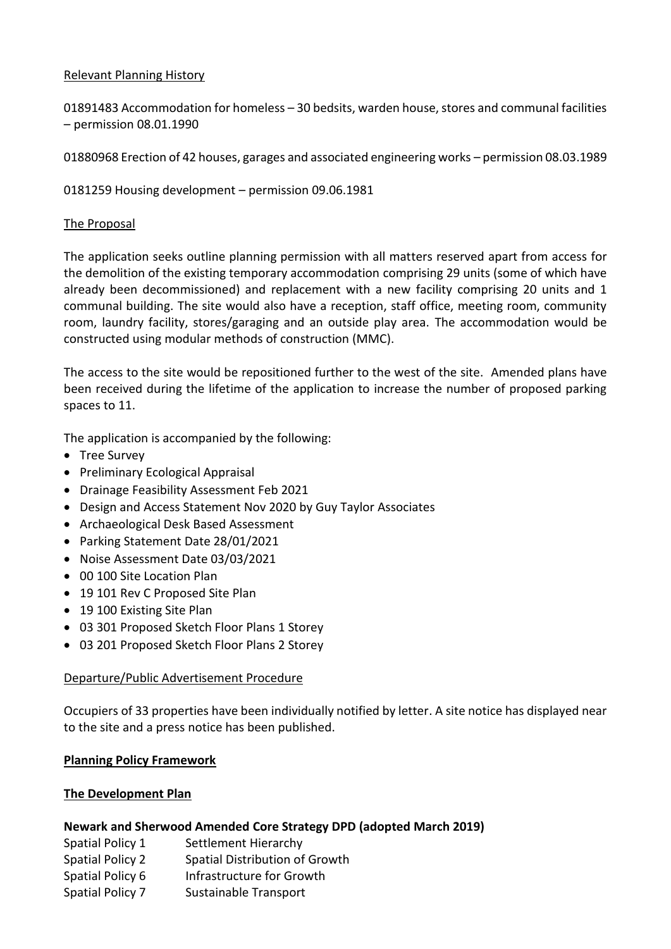## Relevant Planning History

01891483 Accommodation for homeless – 30 bedsits, warden house, stores and communal facilities – permission 08.01.1990

01880968 Erection of 42 houses, garages and associated engineering works – permission 08.03.1989

0181259 Housing development – permission 09.06.1981

### The Proposal

The application seeks outline planning permission with all matters reserved apart from access for the demolition of the existing temporary accommodation comprising 29 units (some of which have already been decommissioned) and replacement with a new facility comprising 20 units and 1 communal building. The site would also have a reception, staff office, meeting room, community room, laundry facility, stores/garaging and an outside play area. The accommodation would be constructed using modular methods of construction (MMC).

The access to the site would be repositioned further to the west of the site. Amended plans have been received during the lifetime of the application to increase the number of proposed parking spaces to 11.

The application is accompanied by the following:

- Tree Survey
- Preliminary Ecological Appraisal
- Drainage Feasibility Assessment Feb 2021
- Design and Access Statement Nov 2020 by Guy Taylor Associates
- Archaeological Desk Based Assessment
- Parking Statement Date 28/01/2021
- Noise Assessment Date 03/03/2021
- 00 100 Site Location Plan
- 19 101 Rev C Proposed Site Plan
- 19 100 Existing Site Plan
- 03 301 Proposed Sketch Floor Plans 1 Storey
- 03 201 Proposed Sketch Floor Plans 2 Storey

### Departure/Public Advertisement Procedure

Occupiers of 33 properties have been individually notified by letter. A site notice has displayed near to the site and a press notice has been published.

### **Planning Policy Framework**

### **The Development Plan**

### **Newark and Sherwood Amended Core Strategy DPD (adopted March 2019)**

- Spatial Policy 1 Settlement Hierarchy
- Spatial Policy 2 Spatial Distribution of Growth
- Spatial Policy 6 Infrastructure for Growth
- Spatial Policy 7 Sustainable Transport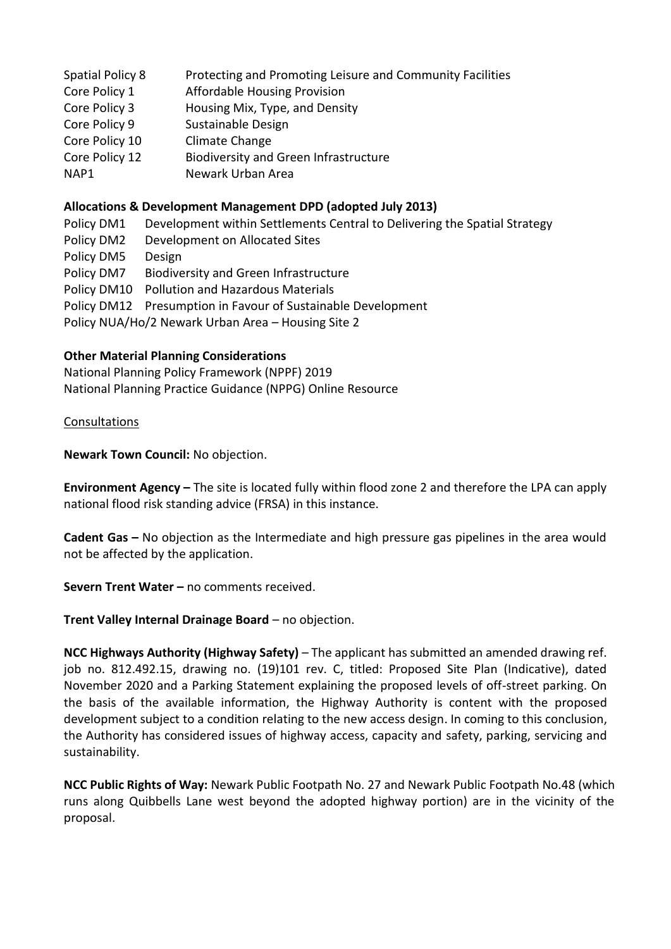| Spatial Policy 8 | Protecting and Promoting Leisure and Community Facilities |
|------------------|-----------------------------------------------------------|
| Core Policy 1    | <b>Affordable Housing Provision</b>                       |
| Core Policy 3    | Housing Mix, Type, and Density                            |
| Core Policy 9    | Sustainable Design                                        |
| Core Policy 10   | Climate Change                                            |
| Core Policy 12   | <b>Biodiversity and Green Infrastructure</b>              |
| NAP1             | Newark Urban Area                                         |
|                  |                                                           |

## **Allocations & Development Management DPD (adopted July 2013)**

Policy DM1 Development within Settlements Central to Delivering the Spatial Strategy Policy DM2 Development on Allocated Sites Policy DM5 Design Policy DM7 Biodiversity and Green Infrastructure Policy DM10 Pollution and Hazardous Materials Policy DM12 Presumption in Favour of Sustainable Development Policy NUA/Ho/2 Newark Urban Area – Housing Site 2

### **Other Material Planning Considerations**

National Planning Policy Framework (NPPF) 2019 National Planning Practice Guidance (NPPG) Online Resource

### Consultations

**Newark Town Council:** No objection.

**Environment Agency –** The site is located fully within flood zone 2 and therefore the LPA can apply national flood risk standing advice (FRSA) in this instance.

**Cadent Gas –** No objection as the Intermediate and high pressure gas pipelines in the area would not be affected by the application.

**Severn Trent Water –** no comments received.

**Trent Valley Internal Drainage Board** – no objection.

**NCC Highways Authority (Highway Safety)** – The applicant has submitted an amended drawing ref. job no. 812.492.15, drawing no. (19)101 rev. C, titled: Proposed Site Plan (Indicative), dated November 2020 and a Parking Statement explaining the proposed levels of off-street parking. On the basis of the available information, the Highway Authority is content with the proposed development subject to a condition relating to the new access design. In coming to this conclusion, the Authority has considered issues of highway access, capacity and safety, parking, servicing and sustainability.

**NCC Public Rights of Way:** Newark Public Footpath No. 27 and Newark Public Footpath No.48 (which runs along Quibbells Lane west beyond the adopted highway portion) are in the vicinity of the proposal.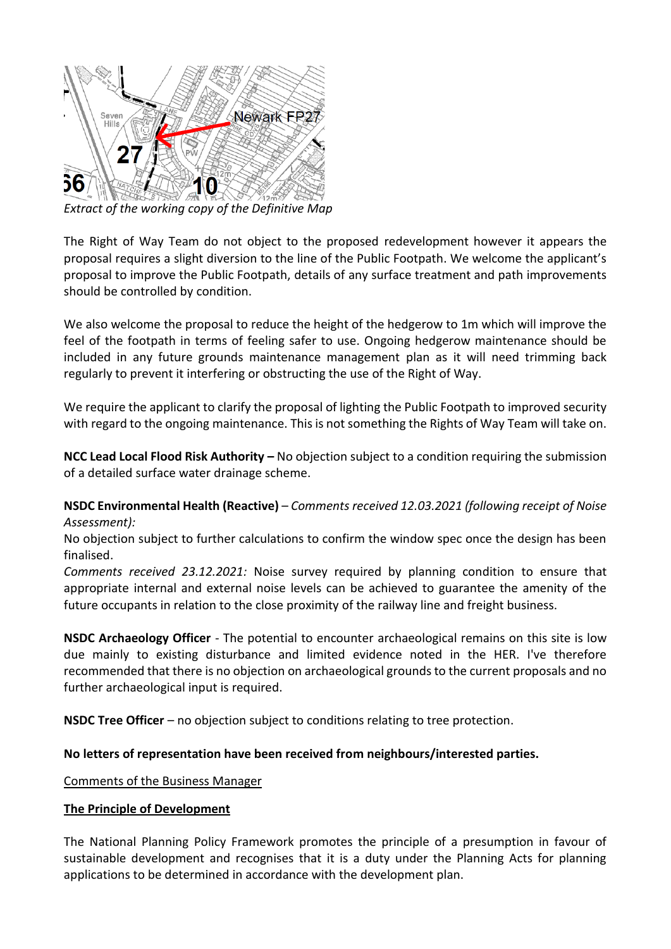

*Extract of the working copy of the Definitive Map* 

The Right of Way Team do not object to the proposed redevelopment however it appears the proposal requires a slight diversion to the line of the Public Footpath. We welcome the applicant's proposal to improve the Public Footpath, details of any surface treatment and path improvements should be controlled by condition.

We also welcome the proposal to reduce the height of the hedgerow to 1m which will improve the feel of the footpath in terms of feeling safer to use. Ongoing hedgerow maintenance should be included in any future grounds maintenance management plan as it will need trimming back regularly to prevent it interfering or obstructing the use of the Right of Way.

We require the applicant to clarify the proposal of lighting the Public Footpath to improved security with regard to the ongoing maintenance. This is not something the Rights of Way Team will take on.

**NCC Lead Local Flood Risk Authority –** No objection subject to a condition requiring the submission of a detailed surface water drainage scheme.

**NSDC Environmental Health (Reactive)** – *Comments received 12.03.2021 (following receipt of Noise Assessment):*

No objection subject to further calculations to confirm the window spec once the design has been finalised.

*Comments received 23.12.2021:* Noise survey required by planning condition to ensure that appropriate internal and external noise levels can be achieved to guarantee the amenity of the future occupants in relation to the close proximity of the railway line and freight business.

**NSDC Archaeology Officer** *-* The potential to encounter archaeological remains on this site is low due mainly to existing disturbance and limited evidence noted in the HER. I've therefore recommended that there is no objection on archaeological grounds to the current proposals and no further archaeological input is required.

**NSDC Tree Officer** – no objection subject to conditions relating to tree protection.

### **No letters of representation have been received from neighbours/interested parties.**

Comments of the Business Manager

### **The Principle of Development**

The National Planning Policy Framework promotes the principle of a presumption in favour of sustainable development and recognises that it is a duty under the Planning Acts for planning applications to be determined in accordance with the development plan.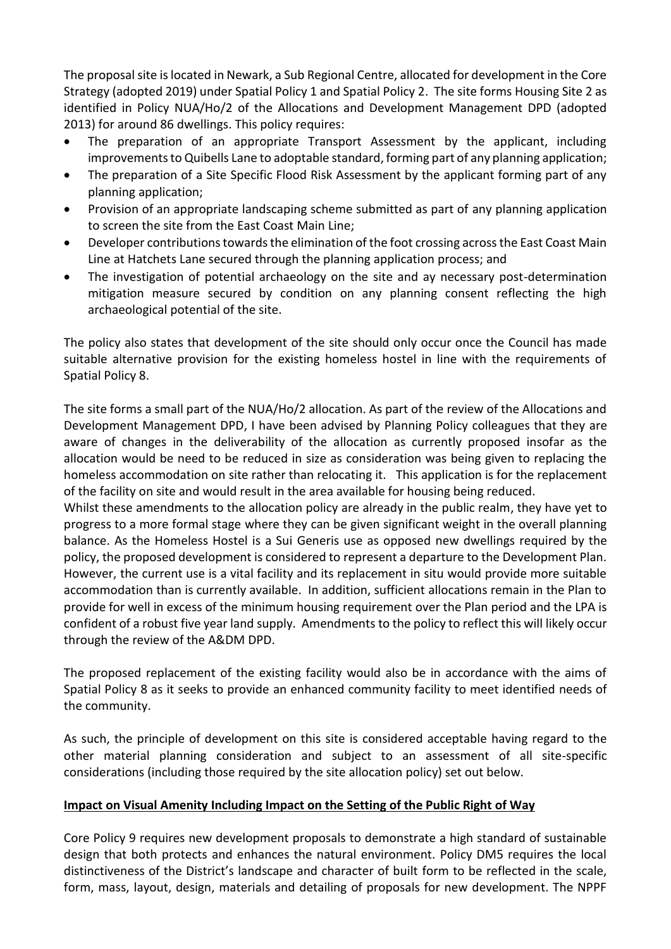The proposal site is located in Newark, a Sub Regional Centre, allocated for development in the Core Strategy (adopted 2019) under Spatial Policy 1 and Spatial Policy 2. The site forms Housing Site 2 as identified in Policy NUA/Ho/2 of the Allocations and Development Management DPD (adopted 2013) for around 86 dwellings. This policy requires:

- The preparation of an appropriate Transport Assessment by the applicant, including improvements to Quibells Lane to adoptable standard, forming part of any planning application;
- The preparation of a Site Specific Flood Risk Assessment by the applicant forming part of any planning application;
- Provision of an appropriate landscaping scheme submitted as part of any planning application to screen the site from the East Coast Main Line;
- Developer contributions towards the elimination of the foot crossing across the East Coast Main Line at Hatchets Lane secured through the planning application process; and
- The investigation of potential archaeology on the site and ay necessary post-determination mitigation measure secured by condition on any planning consent reflecting the high archaeological potential of the site.

The policy also states that development of the site should only occur once the Council has made suitable alternative provision for the existing homeless hostel in line with the requirements of Spatial Policy 8.

The site forms a small part of the NUA/Ho/2 allocation. As part of the review of the Allocations and Development Management DPD, I have been advised by Planning Policy colleagues that they are aware of changes in the deliverability of the allocation as currently proposed insofar as the allocation would be need to be reduced in size as consideration was being given to replacing the homeless accommodation on site rather than relocating it. This application is for the replacement of the facility on site and would result in the area available for housing being reduced.

Whilst these amendments to the allocation policy are already in the public realm, they have yet to progress to a more formal stage where they can be given significant weight in the overall planning balance. As the Homeless Hostel is a Sui Generis use as opposed new dwellings required by the policy, the proposed development is considered to represent a departure to the Development Plan. However, the current use is a vital facility and its replacement in situ would provide more suitable accommodation than is currently available. In addition, sufficient allocations remain in the Plan to provide for well in excess of the minimum housing requirement over the Plan period and the LPA is confident of a robust five year land supply. Amendments to the policy to reflect this will likely occur through the review of the A&DM DPD.

The proposed replacement of the existing facility would also be in accordance with the aims of Spatial Policy 8 as it seeks to provide an enhanced community facility to meet identified needs of the community.

As such, the principle of development on this site is considered acceptable having regard to the other material planning consideration and subject to an assessment of all site-specific considerations (including those required by the site allocation policy) set out below.

# **Impact on Visual Amenity Including Impact on the Setting of the Public Right of Way**

Core Policy 9 requires new development proposals to demonstrate a high standard of sustainable design that both protects and enhances the natural environment. Policy DM5 requires the local distinctiveness of the District's landscape and character of built form to be reflected in the scale, form, mass, layout, design, materials and detailing of proposals for new development. The NPPF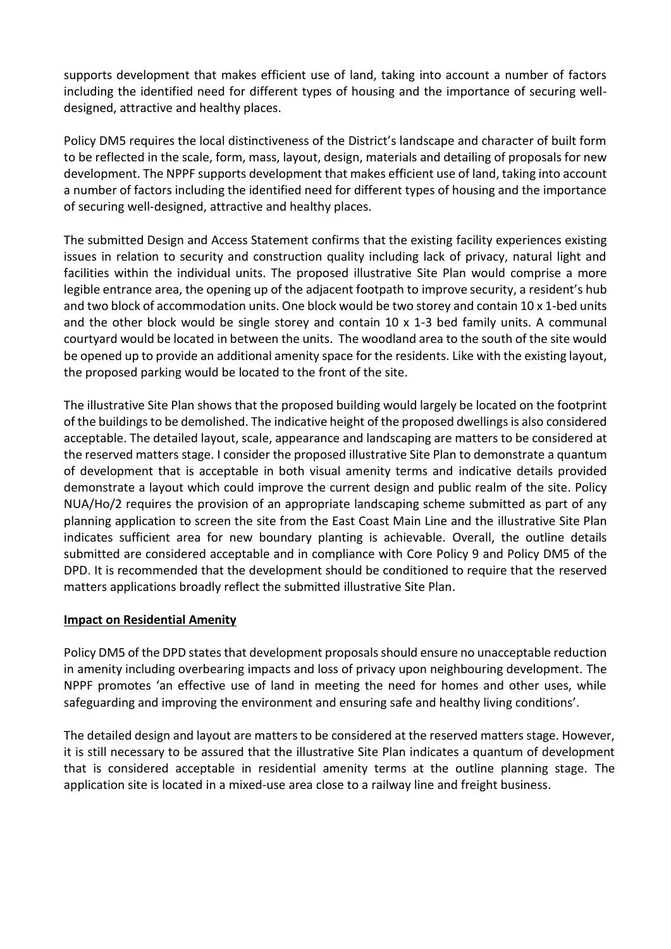supports development that makes efficient use of land, taking into account a number of factors including the identified need for different types of housing and the importance of securing welldesigned, attractive and healthy places.

Policy DM5 requires the local distinctiveness of the District's landscape and character of built form to be reflected in the scale, form, mass, layout, design, materials and detailing of proposals for new development. The NPPF supports development that makes efficient use of land, taking into account a number of factors including the identified need for different types of housing and the importance of securing well-designed, attractive and healthy places.

The submitted Design and Access Statement confirms that the existing facility experiences existing issues in relation to security and construction quality including lack of privacy, natural light and facilities within the individual units. The proposed illustrative Site Plan would comprise a more legible entrance area, the opening up of the adjacent footpath to improve security, a resident's hub and two block of accommodation units. One block would be two storey and contain 10 x 1-bed units and the other block would be single storey and contain  $10 \times 1-3$  bed family units. A communal courtyard would be located in between the units. The woodland area to the south of the site would be opened up to provide an additional amenity space for the residents. Like with the existing layout, the proposed parking would be located to the front of the site.

The illustrative Site Plan shows that the proposed building would largely be located on the footprint of the buildings to be demolished. The indicative height of the proposed dwellings is also considered acceptable. The detailed layout, scale, appearance and landscaping are matters to be considered at the reserved matters stage. I consider the proposed illustrative Site Plan to demonstrate a quantum of development that is acceptable in both visual amenity terms and indicative details provided demonstrate a layout which could improve the current design and public realm of the site. Policy NUA/Ho/2 requires the provision of an appropriate landscaping scheme submitted as part of any planning application to screen the site from the East Coast Main Line and the illustrative Site Plan indicates sufficient area for new boundary planting is achievable. Overall, the outline details submitted are considered acceptable and in compliance with Core Policy 9 and Policy DM5 of the DPD. It is recommended that the development should be conditioned to require that the reserved matters applications broadly reflect the submitted illustrative Site Plan.

### **Impact on Residential Amenity**

Policy DM5 of the DPD states that development proposals should ensure no unacceptable reduction in amenity including overbearing impacts and loss of privacy upon neighbouring development. The NPPF promotes 'an effective use of land in meeting the need for homes and other uses, while safeguarding and improving the environment and ensuring safe and healthy living conditions'.

The detailed design and layout are matters to be considered at the reserved matters stage. However, it is still necessary to be assured that the illustrative Site Plan indicates a quantum of development that is considered acceptable in residential amenity terms at the outline planning stage. The application site is located in a mixed-use area close to a railway line and freight business.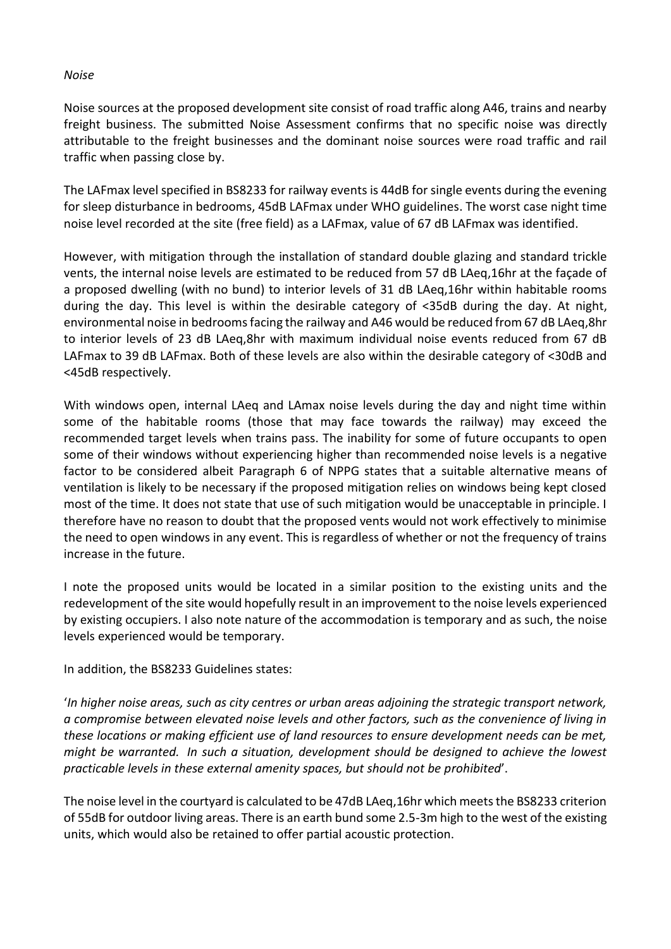#### *Noise*

Noise sources at the proposed development site consist of road traffic along A46, trains and nearby freight business. The submitted Noise Assessment confirms that no specific noise was directly attributable to the freight businesses and the dominant noise sources were road traffic and rail traffic when passing close by.

The LAFmax level specified in BS8233 for railway events is 44dB for single events during the evening for sleep disturbance in bedrooms, 45dB LAFmax under WHO guidelines. The worst case night time noise level recorded at the site (free field) as a LAFmax, value of 67 dB LAFmax was identified.

However, with mitigation through the installation of standard double glazing and standard trickle vents, the internal noise levels are estimated to be reduced from 57 dB LAeq,16hr at the façade of a proposed dwelling (with no bund) to interior levels of 31 dB LAeq,16hr within habitable rooms during the day. This level is within the desirable category of <35dB during the day. At night, environmental noise in bedrooms facing the railway and A46 would be reduced from 67 dB LAeq,8hr to interior levels of 23 dB LAeq,8hr with maximum individual noise events reduced from 67 dB LAFmax to 39 dB LAFmax. Both of these levels are also within the desirable category of <30dB and <45dB respectively.

With windows open, internal LAeq and LAmax noise levels during the day and night time within some of the habitable rooms (those that may face towards the railway) may exceed the recommended target levels when trains pass. The inability for some of future occupants to open some of their windows without experiencing higher than recommended noise levels is a negative factor to be considered albeit Paragraph 6 of NPPG states that a suitable alternative means of ventilation is likely to be necessary if the proposed mitigation relies on windows being kept closed most of the time. It does not state that use of such mitigation would be unacceptable in principle. I therefore have no reason to doubt that the proposed vents would not work effectively to minimise the need to open windows in any event. This is regardless of whether or not the frequency of trains increase in the future.

I note the proposed units would be located in a similar position to the existing units and the redevelopment of the site would hopefully result in an improvement to the noise levels experienced by existing occupiers. I also note nature of the accommodation is temporary and as such, the noise levels experienced would be temporary.

In addition, the BS8233 Guidelines states:

'*In higher noise areas, such as city centres or urban areas adjoining the strategic transport network, a compromise between elevated noise levels and other factors, such as the convenience of living in these locations or making efficient use of land resources to ensure development needs can be met, might be warranted. In such a situation, development should be designed to achieve the lowest practicable levels in these external amenity spaces, but should not be prohibited*'.

The noise level in the courtyard is calculated to be 47dB LAeq,16hr which meets the BS8233 criterion of 55dB for outdoor living areas. There is an earth bund some 2.5-3m high to the west of the existing units, which would also be retained to offer partial acoustic protection.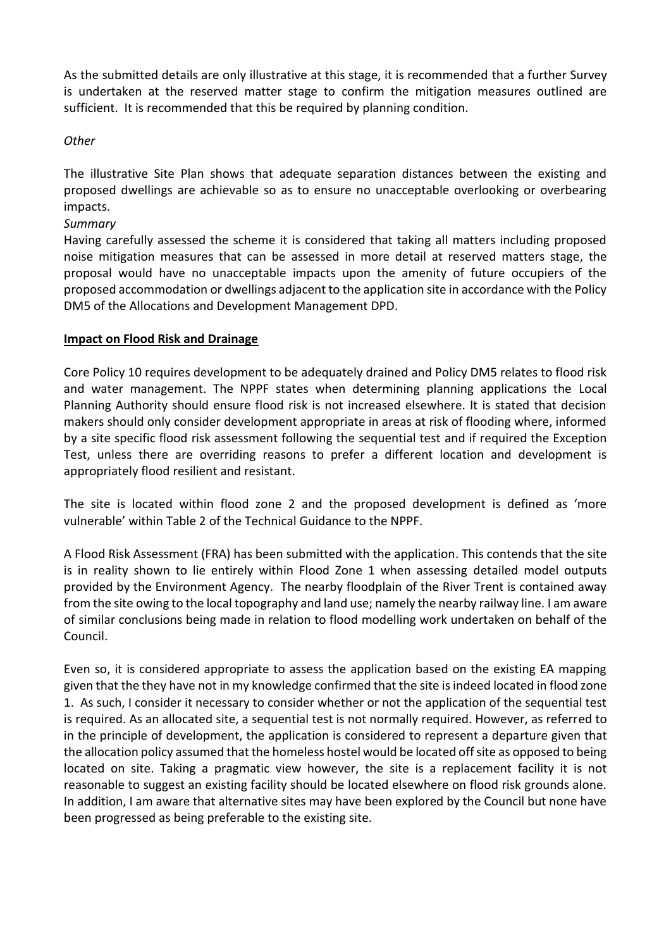As the submitted details are only illustrative at this stage, it is recommended that a further Survey is undertaken at the reserved matter stage to confirm the mitigation measures outlined are sufficient. It is recommended that this be required by planning condition.

*Other*

The illustrative Site Plan shows that adequate separation distances between the existing and proposed dwellings are achievable so as to ensure no unacceptable overlooking or overbearing impacts.

*Summary*

Having carefully assessed the scheme it is considered that taking all matters including proposed noise mitigation measures that can be assessed in more detail at reserved matters stage, the proposal would have no unacceptable impacts upon the amenity of future occupiers of the proposed accommodation or dwellings adjacent to the application site in accordance with the Policy DM5 of the Allocations and Development Management DPD.

## **Impact on Flood Risk and Drainage**

Core Policy 10 requires development to be adequately drained and Policy DM5 relates to flood risk and water management. The NPPF states when determining planning applications the Local Planning Authority should ensure flood risk is not increased elsewhere. It is stated that decision makers should only consider development appropriate in areas at risk of flooding where, informed by a site specific flood risk assessment following the sequential test and if required the Exception Test, unless there are overriding reasons to prefer a different location and development is appropriately flood resilient and resistant.

The site is located within flood zone 2 and the proposed development is defined as 'more vulnerable' within Table 2 of the Technical Guidance to the NPPF.

A Flood Risk Assessment (FRA) has been submitted with the application. This contends that the site is in reality shown to lie entirely within Flood Zone 1 when assessing detailed model outputs provided by the Environment Agency. The nearby floodplain of the River Trent is contained away from the site owing to the local topography and land use; namely the nearby railway line. I am aware of similar conclusions being made in relation to flood modelling work undertaken on behalf of the Council.

Even so, it is considered appropriate to assess the application based on the existing EA mapping given that the they have not in my knowledge confirmed that the site is indeed located in flood zone 1. As such, I consider it necessary to consider whether or not the application of the sequential test is required. As an allocated site, a sequential test is not normally required. However, as referred to in the principle of development, the application is considered to represent a departure given that the allocation policy assumed that the homeless hostel would be located off site as opposed to being located on site. Taking a pragmatic view however, the site is a replacement facility it is not reasonable to suggest an existing facility should be located elsewhere on flood risk grounds alone. In addition, I am aware that alternative sites may have been explored by the Council but none have been progressed as being preferable to the existing site.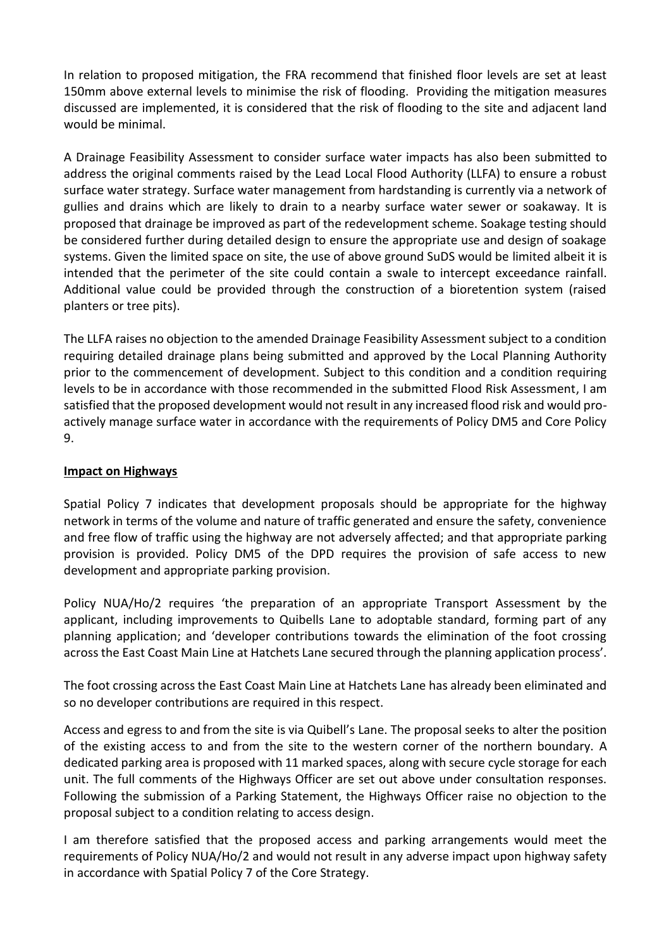In relation to proposed mitigation, the FRA recommend that finished floor levels are set at least 150mm above external levels to minimise the risk of flooding. Providing the mitigation measures discussed are implemented, it is considered that the risk of flooding to the site and adjacent land would be minimal.

A Drainage Feasibility Assessment to consider surface water impacts has also been submitted to address the original comments raised by the Lead Local Flood Authority (LLFA) to ensure a robust surface water strategy. Surface water management from hardstanding is currently via a network of gullies and drains which are likely to drain to a nearby surface water sewer or soakaway. It is proposed that drainage be improved as part of the redevelopment scheme. Soakage testing should be considered further during detailed design to ensure the appropriate use and design of soakage systems. Given the limited space on site, the use of above ground SuDS would be limited albeit it is intended that the perimeter of the site could contain a swale to intercept exceedance rainfall. Additional value could be provided through the construction of a bioretention system (raised planters or tree pits).

The LLFA raises no objection to the amended Drainage Feasibility Assessment subject to a condition requiring detailed drainage plans being submitted and approved by the Local Planning Authority prior to the commencement of development. Subject to this condition and a condition requiring levels to be in accordance with those recommended in the submitted Flood Risk Assessment, I am satisfied that the proposed development would not result in any increased flood risk and would proactively manage surface water in accordance with the requirements of Policy DM5 and Core Policy 9.

## **Impact on Highways**

Spatial Policy 7 indicates that development proposals should be appropriate for the highway network in terms of the volume and nature of traffic generated and ensure the safety, convenience and free flow of traffic using the highway are not adversely affected; and that appropriate parking provision is provided. Policy DM5 of the DPD requires the provision of safe access to new development and appropriate parking provision.

Policy NUA/Ho/2 requires 'the preparation of an appropriate Transport Assessment by the applicant, including improvements to Quibells Lane to adoptable standard, forming part of any planning application; and 'developer contributions towards the elimination of the foot crossing across the East Coast Main Line at Hatchets Lane secured through the planning application process'.

The foot crossing across the East Coast Main Line at Hatchets Lane has already been eliminated and so no developer contributions are required in this respect.

Access and egress to and from the site is via Quibell's Lane. The proposal seeks to alter the position of the existing access to and from the site to the western corner of the northern boundary. A dedicated parking area is proposed with 11 marked spaces, along with secure cycle storage for each unit. The full comments of the Highways Officer are set out above under consultation responses. Following the submission of a Parking Statement, the Highways Officer raise no objection to the proposal subject to a condition relating to access design.

I am therefore satisfied that the proposed access and parking arrangements would meet the requirements of Policy NUA/Ho/2 and would not result in any adverse impact upon highway safety in accordance with Spatial Policy 7 of the Core Strategy.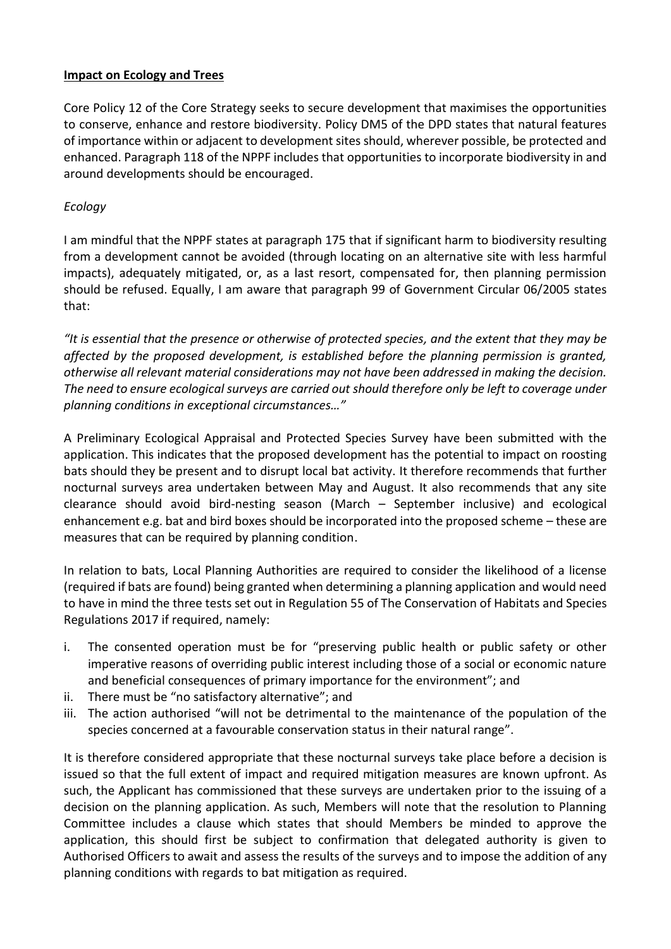## **Impact on Ecology and Trees**

Core Policy 12 of the Core Strategy seeks to secure development that maximises the opportunities to conserve, enhance and restore biodiversity. Policy DM5 of the DPD states that natural features of importance within or adjacent to development sites should, wherever possible, be protected and enhanced. Paragraph 118 of the NPPF includes that opportunities to incorporate biodiversity in and around developments should be encouraged.

# *Ecology*

I am mindful that the NPPF states at paragraph 175 that if significant harm to biodiversity resulting from a development cannot be avoided (through locating on an alternative site with less harmful impacts), adequately mitigated, or, as a last resort, compensated for, then planning permission should be refused. Equally, I am aware that paragraph 99 of Government Circular 06/2005 states that:

*"It is essential that the presence or otherwise of protected species, and the extent that they may be affected by the proposed development, is established before the planning permission is granted, otherwise all relevant material considerations may not have been addressed in making the decision. The need to ensure ecological surveys are carried out should therefore only be left to coverage under planning conditions in exceptional circumstances…"*

A Preliminary Ecological Appraisal and Protected Species Survey have been submitted with the application. This indicates that the proposed development has the potential to impact on roosting bats should they be present and to disrupt local bat activity. It therefore recommends that further nocturnal surveys area undertaken between May and August. It also recommends that any site clearance should avoid bird-nesting season (March – September inclusive) and ecological enhancement e.g. bat and bird boxes should be incorporated into the proposed scheme – these are measures that can be required by planning condition.

In relation to bats, Local Planning Authorities are required to consider the likelihood of a license (required if bats are found) being granted when determining a planning application and would need to have in mind the three tests set out in Regulation 55 of The Conservation of Habitats and Species Regulations 2017 if required, namely:

- i. The consented operation must be for "preserving public health or public safety or other imperative reasons of overriding public interest including those of a social or economic nature and beneficial consequences of primary importance for the environment"; and
- ii. There must be "no satisfactory alternative"; and
- iii. The action authorised "will not be detrimental to the maintenance of the population of the species concerned at a favourable conservation status in their natural range".

It is therefore considered appropriate that these nocturnal surveys take place before a decision is issued so that the full extent of impact and required mitigation measures are known upfront. As such, the Applicant has commissioned that these surveys are undertaken prior to the issuing of a decision on the planning application. As such, Members will note that the resolution to Planning Committee includes a clause which states that should Members be minded to approve the application, this should first be subject to confirmation that delegated authority is given to Authorised Officers to await and assess the results of the surveys and to impose the addition of any planning conditions with regards to bat mitigation as required.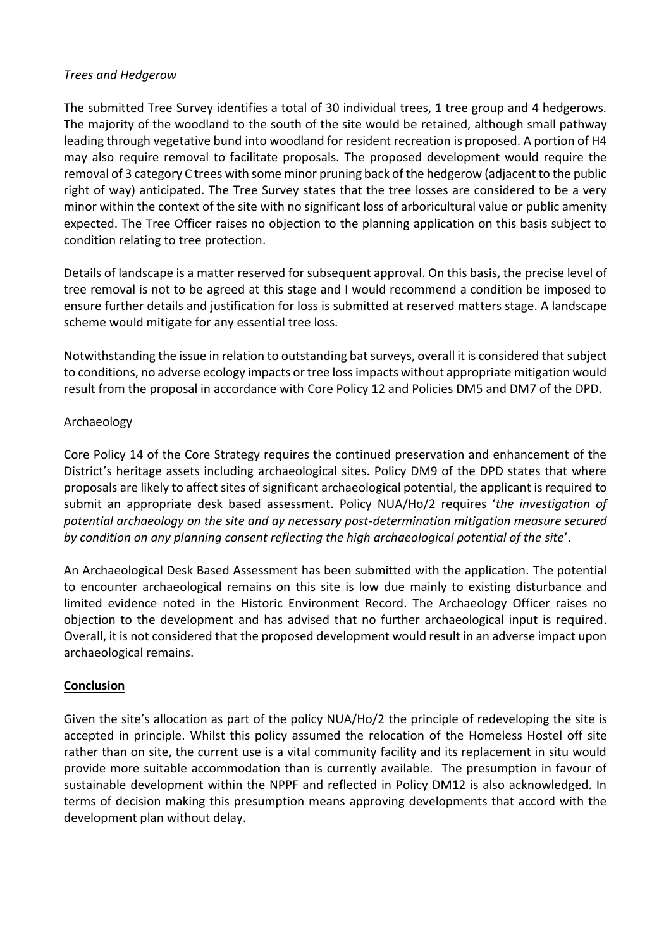## *Trees and Hedgerow*

The submitted Tree Survey identifies a total of 30 individual trees, 1 tree group and 4 hedgerows. The majority of the woodland to the south of the site would be retained, although small pathway leading through vegetative bund into woodland for resident recreation is proposed. A portion of H4 may also require removal to facilitate proposals. The proposed development would require the removal of 3 category C trees with some minor pruning back of the hedgerow (adjacent to the public right of way) anticipated. The Tree Survey states that the tree losses are considered to be a very minor within the context of the site with no significant loss of arboricultural value or public amenity expected. The Tree Officer raises no objection to the planning application on this basis subject to condition relating to tree protection.

Details of landscape is a matter reserved for subsequent approval. On this basis, the precise level of tree removal is not to be agreed at this stage and I would recommend a condition be imposed to ensure further details and justification for loss is submitted at reserved matters stage. A landscape scheme would mitigate for any essential tree loss.

Notwithstanding the issue in relation to outstanding bat surveys, overall it is considered that subject to conditions, no adverse ecology impacts or tree loss impacts without appropriate mitigation would result from the proposal in accordance with Core Policy 12 and Policies DM5 and DM7 of the DPD.

## Archaeology

Core Policy 14 of the Core Strategy requires the continued preservation and enhancement of the District's heritage assets including archaeological sites. Policy DM9 of the DPD states that where proposals are likely to affect sites of significant archaeological potential, the applicant is required to submit an appropriate desk based assessment. Policy NUA/Ho/2 requires '*the investigation of potential archaeology on the site and ay necessary post-determination mitigation measure secured by condition on any planning consent reflecting the high archaeological potential of the site*'.

An Archaeological Desk Based Assessment has been submitted with the application. The potential to encounter archaeological remains on this site is low due mainly to existing disturbance and limited evidence noted in the Historic Environment Record. The Archaeology Officer raises no objection to the development and has advised that no further archaeological input is required. Overall, it is not considered that the proposed development would result in an adverse impact upon archaeological remains.

# **Conclusion**

Given the site's allocation as part of the policy NUA/Ho/2 the principle of redeveloping the site is accepted in principle. Whilst this policy assumed the relocation of the Homeless Hostel off site rather than on site, the current use is a vital community facility and its replacement in situ would provide more suitable accommodation than is currently available. The presumption in favour of sustainable development within the NPPF and reflected in Policy DM12 is also acknowledged. In terms of decision making this presumption means approving developments that accord with the development plan without delay.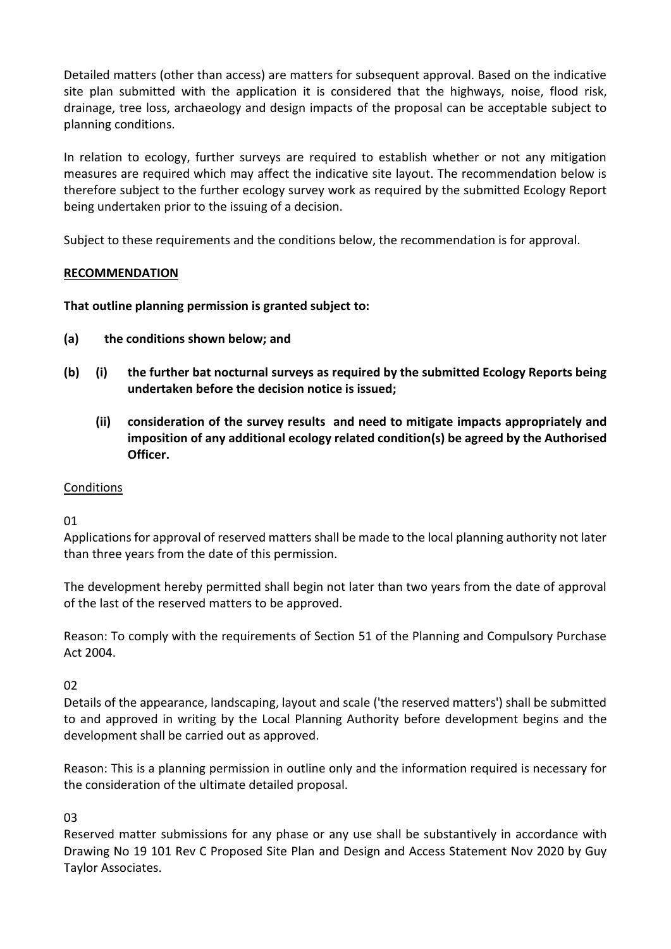Detailed matters (other than access) are matters for subsequent approval. Based on the indicative site plan submitted with the application it is considered that the highways, noise, flood risk, drainage, tree loss, archaeology and design impacts of the proposal can be acceptable subject to planning conditions.

In relation to ecology, further surveys are required to establish whether or not any mitigation measures are required which may affect the indicative site layout. The recommendation below is therefore subject to the further ecology survey work as required by the submitted Ecology Report being undertaken prior to the issuing of a decision.

Subject to these requirements and the conditions below, the recommendation is for approval.

# **RECOMMENDATION**

**That outline planning permission is granted subject to:** 

- **(a) the conditions shown below; and**
- **(b) (i) the further bat nocturnal surveys as required by the submitted Ecology Reports being undertaken before the decision notice is issued;**
	- **(ii) consideration of the survey results and need to mitigate impacts appropriately and imposition of any additional ecology related condition(s) be agreed by the Authorised Officer.**

# **Conditions**

01

Applications for approval of reserved matters shall be made to the local planning authority not later than three years from the date of this permission.

The development hereby permitted shall begin not later than two years from the date of approval of the last of the reserved matters to be approved.

Reason: To comply with the requirements of Section 51 of the Planning and Compulsory Purchase Act 2004.

02

Details of the appearance, landscaping, layout and scale ('the reserved matters') shall be submitted to and approved in writing by the Local Planning Authority before development begins and the development shall be carried out as approved.

Reason: This is a planning permission in outline only and the information required is necessary for the consideration of the ultimate detailed proposal.

03

Reserved matter submissions for any phase or any use shall be substantively in accordance with Drawing No 19 101 Rev C Proposed Site Plan and Design and Access Statement Nov 2020 by Guy Taylor Associates.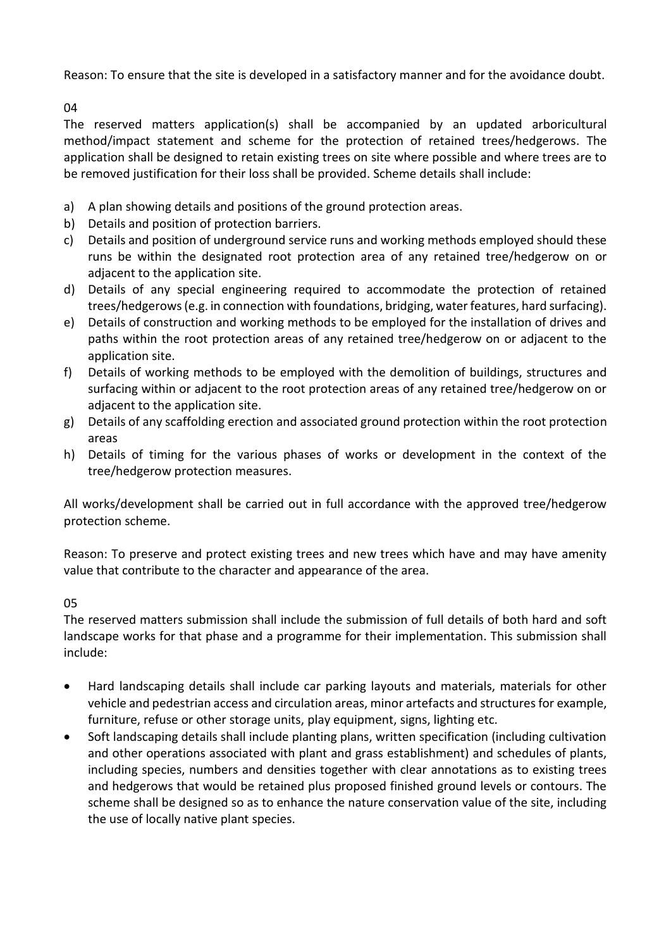Reason: To ensure that the site is developed in a satisfactory manner and for the avoidance doubt.

04

The reserved matters application(s) shall be accompanied by an updated arboricultural method/impact statement and scheme for the protection of retained trees/hedgerows. The application shall be designed to retain existing trees on site where possible and where trees are to be removed justification for their loss shall be provided. Scheme details shall include:

- a) A plan showing details and positions of the ground protection areas.
- b) Details and position of protection barriers.
- c) Details and position of underground service runs and working methods employed should these runs be within the designated root protection area of any retained tree/hedgerow on or adjacent to the application site.
- d) Details of any special engineering required to accommodate the protection of retained trees/hedgerows (e.g. in connection with foundations, bridging, water features, hard surfacing).
- e) Details of construction and working methods to be employed for the installation of drives and paths within the root protection areas of any retained tree/hedgerow on or adjacent to the application site.
- f) Details of working methods to be employed with the demolition of buildings, structures and surfacing within or adjacent to the root protection areas of any retained tree/hedgerow on or adjacent to the application site.
- g) Details of any scaffolding erection and associated ground protection within the root protection areas
- h) Details of timing for the various phases of works or development in the context of the tree/hedgerow protection measures.

All works/development shall be carried out in full accordance with the approved tree/hedgerow protection scheme.

Reason: To preserve and protect existing trees and new trees which have and may have amenity value that contribute to the character and appearance of the area.

05

The reserved matters submission shall include the submission of full details of both hard and soft landscape works for that phase and a programme for their implementation. This submission shall include:

- Hard landscaping details shall include car parking layouts and materials, materials for other vehicle and pedestrian access and circulation areas, minor artefacts and structures for example, furniture, refuse or other storage units, play equipment, signs, lighting etc.
- Soft landscaping details shall include planting plans, written specification (including cultivation and other operations associated with plant and grass establishment) and schedules of plants, including species, numbers and densities together with clear annotations as to existing trees and hedgerows that would be retained plus proposed finished ground levels or contours. The scheme shall be designed so as to enhance the nature conservation value of the site, including the use of locally native plant species.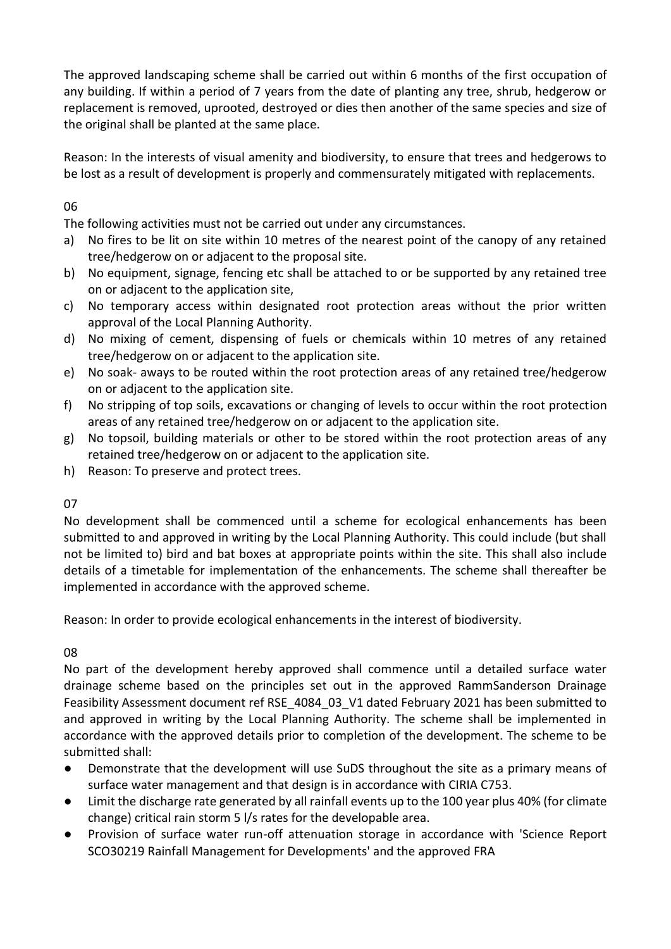The approved landscaping scheme shall be carried out within 6 months of the first occupation of any building. If within a period of 7 years from the date of planting any tree, shrub, hedgerow or replacement is removed, uprooted, destroyed or dies then another of the same species and size of the original shall be planted at the same place.

Reason: In the interests of visual amenity and biodiversity, to ensure that trees and hedgerows to be lost as a result of development is properly and commensurately mitigated with replacements.

# 06

The following activities must not be carried out under any circumstances.

- a) No fires to be lit on site within 10 metres of the nearest point of the canopy of any retained tree/hedgerow on or adjacent to the proposal site.
- b) No equipment, signage, fencing etc shall be attached to or be supported by any retained tree on or adjacent to the application site,
- c) No temporary access within designated root protection areas without the prior written approval of the Local Planning Authority.
- d) No mixing of cement, dispensing of fuels or chemicals within 10 metres of any retained tree/hedgerow on or adjacent to the application site.
- e) No soak- aways to be routed within the root protection areas of any retained tree/hedgerow on or adjacent to the application site.
- f) No stripping of top soils, excavations or changing of levels to occur within the root protection areas of any retained tree/hedgerow on or adjacent to the application site.
- g) No topsoil, building materials or other to be stored within the root protection areas of any retained tree/hedgerow on or adjacent to the application site.
- h) Reason: To preserve and protect trees.

# 07

No development shall be commenced until a scheme for ecological enhancements has been submitted to and approved in writing by the Local Planning Authority. This could include (but shall not be limited to) bird and bat boxes at appropriate points within the site. This shall also include details of a timetable for implementation of the enhancements. The scheme shall thereafter be implemented in accordance with the approved scheme.

Reason: In order to provide ecological enhancements in the interest of biodiversity.

# 08

No part of the development hereby approved shall commence until a detailed surface water drainage scheme based on the principles set out in the approved RammSanderson Drainage Feasibility Assessment document ref RSE 4084 03 V1 dated February 2021 has been submitted to and approved in writing by the Local Planning Authority. The scheme shall be implemented in accordance with the approved details prior to completion of the development. The scheme to be submitted shall:

- Demonstrate that the development will use SuDS throughout the site as a primary means of surface water management and that design is in accordance with CIRIA C753.
- Limit the discharge rate generated by all rainfall events up to the 100 year plus 40% (for climate change) critical rain storm 5 l/s rates for the developable area.
- Provision of surface water run-off attenuation storage in accordance with 'Science Report SCO30219 Rainfall Management for Developments' and the approved FRA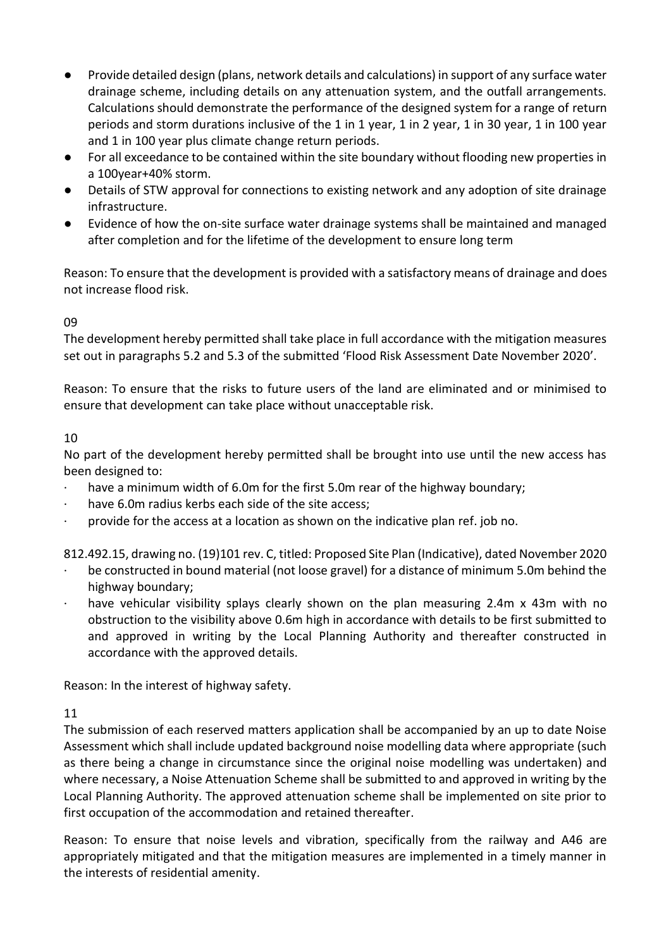- Provide detailed design (plans, network details and calculations) in support of any surface water drainage scheme, including details on any attenuation system, and the outfall arrangements. Calculations should demonstrate the performance of the designed system for a range of return periods and storm durations inclusive of the 1 in 1 year, 1 in 2 year, 1 in 30 year, 1 in 100 year and 1 in 100 year plus climate change return periods.
- For all exceedance to be contained within the site boundary without flooding new properties in a 100year+40% storm.
- Details of STW approval for connections to existing network and any adoption of site drainage infrastructure.
- Evidence of how the on-site surface water drainage systems shall be maintained and managed after completion and for the lifetime of the development to ensure long term

Reason: To ensure that the development is provided with a satisfactory means of drainage and does not increase flood risk.

# 09

The development hereby permitted shall take place in full accordance with the mitigation measures set out in paragraphs 5.2 and 5.3 of the submitted 'Flood Risk Assessment Date November 2020'.

Reason: To ensure that the risks to future users of the land are eliminated and or minimised to ensure that development can take place without unacceptable risk.

## 10

No part of the development hereby permitted shall be brought into use until the new access has been designed to:

- have a minimum width of 6.0m for the first 5.0m rear of the highway boundary;
- have 6.0m radius kerbs each side of the site access;
- · provide for the access at a location as shown on the indicative plan ref. job no.

812.492.15, drawing no. (19)101 rev. C, titled: Proposed Site Plan (Indicative), dated November 2020

- be constructed in bound material (not loose gravel) for a distance of minimum 5.0m behind the highway boundary;
- · have vehicular visibility splays clearly shown on the plan measuring 2.4m x 43m with no obstruction to the visibility above 0.6m high in accordance with details to be first submitted to and approved in writing by the Local Planning Authority and thereafter constructed in accordance with the approved details.

Reason: In the interest of highway safety.

# 11

The submission of each reserved matters application shall be accompanied by an up to date Noise Assessment which shall include updated background noise modelling data where appropriate (such as there being a change in circumstance since the original noise modelling was undertaken) and where necessary, a Noise Attenuation Scheme shall be submitted to and approved in writing by the Local Planning Authority. The approved attenuation scheme shall be implemented on site prior to first occupation of the accommodation and retained thereafter.

Reason: To ensure that noise levels and vibration, specifically from the railway and A46 are appropriately mitigated and that the mitigation measures are implemented in a timely manner in the interests of residential amenity.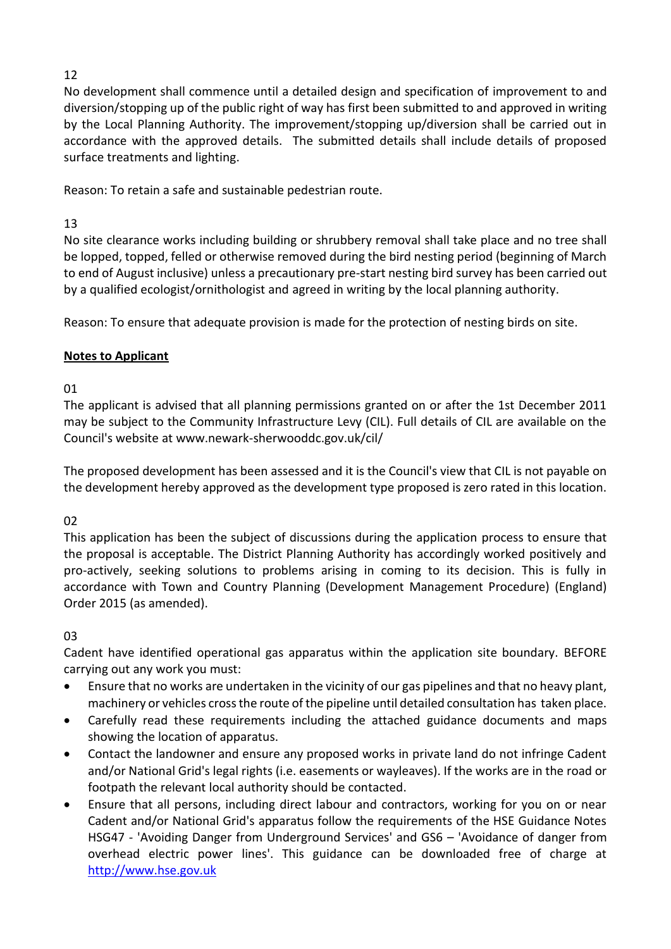# 12

No development shall commence until a detailed design and specification of improvement to and diversion/stopping up of the public right of way has first been submitted to and approved in writing by the Local Planning Authority. The improvement/stopping up/diversion shall be carried out in accordance with the approved details. The submitted details shall include details of proposed surface treatments and lighting.

Reason: To retain a safe and sustainable pedestrian route.

# 13

No site clearance works including building or shrubbery removal shall take place and no tree shall be lopped, topped, felled or otherwise removed during the bird nesting period (beginning of March to end of August inclusive) unless a precautionary pre-start nesting bird survey has been carried out by a qualified ecologist/ornithologist and agreed in writing by the local planning authority.

Reason: To ensure that adequate provision is made for the protection of nesting birds on site.

# **Notes to Applicant**

# 01

The applicant is advised that all planning permissions granted on or after the 1st December 2011 may be subject to the Community Infrastructure Levy (CIL). Full details of CIL are available on the Council's website at www.newark-sherwooddc.gov.uk/cil/

The proposed development has been assessed and it is the Council's view that CIL is not payable on the development hereby approved as the development type proposed is zero rated in this location.

# 02

This application has been the subject of discussions during the application process to ensure that the proposal is acceptable. The District Planning Authority has accordingly worked positively and pro-actively, seeking solutions to problems arising in coming to its decision. This is fully in accordance with Town and Country Planning (Development Management Procedure) (England) Order 2015 (as amended).

# 03

Cadent have identified operational gas apparatus within the application site boundary. BEFORE carrying out any work you must:

- Ensure that no works are undertaken in the vicinity of our gas pipelines and that no heavy plant, machinery or vehicles cross the route of the pipeline until detailed consultation has taken place.
- Carefully read these requirements including the attached guidance documents and maps showing the location of apparatus.
- Contact the landowner and ensure any proposed works in private land do not infringe Cadent and/or National Grid's legal rights (i.e. easements or wayleaves). If the works are in the road or footpath the relevant local authority should be contacted.
- Ensure that all persons, including direct labour and contractors, working for you on or near Cadent and/or National Grid's apparatus follow the requirements of the HSE Guidance Notes HSG47 - 'Avoiding Danger from Underground Services' and GS6 – 'Avoidance of danger from overhead electric power lines'. This guidance can be downloaded free of charge at [http://www.hse.gov.uk](http://www.hse.gov.uk/)